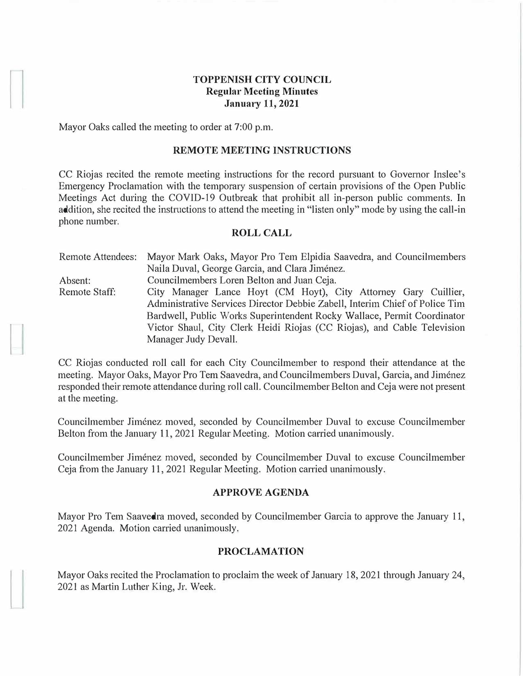# **TOPPENISH CITY COUNCIL Regular Meeting Minutes January 11, 2021**

Mayor Oaks called the meeting to order at 7:00 p.m.

### **REMOTE MEETING INSTRUCTIONS**

CC Riojas recited the remote meeting instructions for the record pursuant to Governor Inslee's Emergency Proclamation with the temporary suspension of certain provisions of the Open Public Meetings Act during the COVID-19 Outbreak that prohibit all in-person public comments. In addition, she recited the instructions to attend the meeting in "listen only" mode by using the call-in phone number.

#### **ROLL CALL**

| <b>Remote Attendees:</b> | Mayor Mark Oaks, Mayor Pro Tem Elpidia Saavedra, and Councilmembers         |
|--------------------------|-----------------------------------------------------------------------------|
|                          | Naila Duval, George Garcia, and Clara Jiménez.                              |
| Absent:                  | Councilmembers Loren Belton and Juan Ceja.                                  |
| Remote Staff:            | City Manager Lance Hoyt (CM Hoyt), City Attorney Gary Cuillier,             |
|                          | Administrative Services Director Debbie Zabell, Interim Chief of Police Tim |
|                          | Bardwell, Public Works Superintendent Rocky Wallace, Permit Coordinator     |
|                          | Victor Shaul, City Clerk Heidi Riojas (CC Riojas), and Cable Television     |
|                          | Manager Judy Devall.                                                        |

CC Riojas conducted roll call for each City Councilmember to respond their attendance at the meeting. Mayor Oaks, Mayor Pro Tem Saavedra, and Councilmembers Duval, Garcia, and Jiménez responded their remote attendance during roll call. Councilmember Belton and Ceja were not present at the meeting.

Councihnember Jimenez moved, seconded by Councilmember Duval to excuse Councilmember Belton from the January 11, 2021 Regular Meeting. Motion carried unanimously.

Councilmember Jimenez moved, seconded by Councilmember Duval to excuse Councilmember Ceja from the January 11, 2021 Regular Meeting. Motion carried unanimously.

#### **APPROVE AGENDA**

Mayor Pro Tem Saavedra moved, seconded by Councilmember Garcia to approve the January 11, 2021 Agenda. Motion carried unanimously.

### **PROCLAMATION**

Mayor Oaks recited the Proclamation to proclaim the week of January 18, 2021 through January 24, 2021 as Martin Luther King, Jr. Week.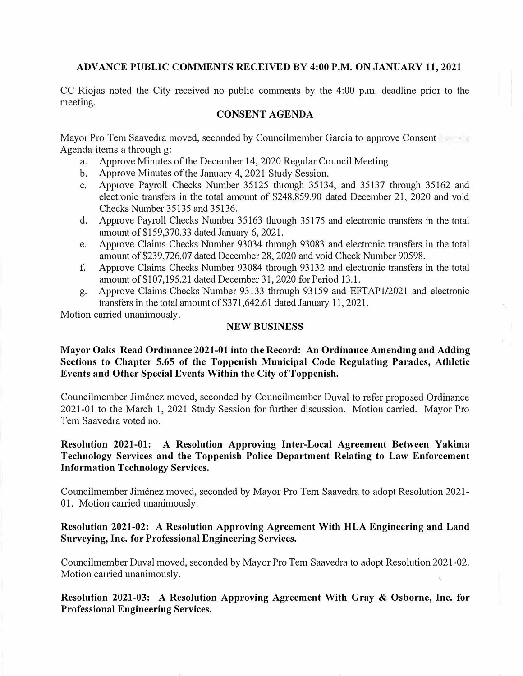### **ADVANCE PUBLIC COMMENTS RECEIVED BY 4:00 P.M. ON JANUARY 11, 2021**

CC Riojas noted the City received no public comments by the 4:00 p.m. deadline prior to the meeting.

### **CONSENT AGENDA**

Mayor Pro Tern Saavedra moved, seconded by Councilmember Garcia to approve Consent Agenda items a through g:

- a. Approve Minutes of the December 14, 2020 Regular Council Meeting.
- b. Approve Minutes of the January 4, 2021 Study Session.
- c. Approve Payroll Checks Number 35125 through 35134, and 35137 through 35162 and electronic transfers in the total amount of \$248,859.90 dated December 21, 2020 and void Checks Number 35135 and 35136.
- d. Approve Payroll Checks Number 35163 through 35175 and electronic transfers in the total amount of \$159,370.33 dated January 6, 2021.
- e. Approve Claims Checks Number 93034 through 93083 and electronic transfers in the total amount of \$239,726.07 dated December 28, 2020 and void Check Number 90598.
- f. Approve Claims Checks Number 93084 through 93132 and electronic transfers in the total amount of\$107,195.21 dated December 31, 2020 for Period 13.1.
- g. Approve Claims Checks Number 93133 through 93159 and EFTAP1/2021 and electronic transfers in the total amount of \$371,642.61 dated January 11, 2021.

Motion carried unanimously.

### **NEW BUSINESS**

# **Mayor Oaks Read Ordinance 2021-01 into the Record: An Ordinance Amending and Adding Sections to Chapter 5.65 of the Toppenish Municipal Code Regulating Parades, Athletic Events and Other Special Events Within the City of Toppenish.**

Councilmember Jimenez moved, seconded by Councilmember Duval to refer proposed Ordinance 2021-01 to the March 1, 2021 Study Session for further discussion. Motion carried. Mayor Pro Tern Saavedra voted no.

# **Resolution 2021-01: A Resolution Approving Inter-Local Agreement Between Yakima Technology Services and the Toppenish Police Department Relating to Law Enforcement Information Technology Services.**

Councilmember Jimenez moved, seconded by Mayor Pro Tern Saavedra to adopt Resolution 2021- 01. Motion carried unanimously.

# **Resolution 2021-02: A Resolution Approving Agreement With HLA Engineering and Land Surveying, Inc. for Professional Engineering Services.**

Councilmember Duval moved, seconded by Mayor Pro Tern Saavedra to adopt Resolution 2021-02. Motion carried unanimously.

**Resolution 2021-03: A Resolution Approving Agreement With Gray & Osborne, Inc. for Professional Engineering Services.**